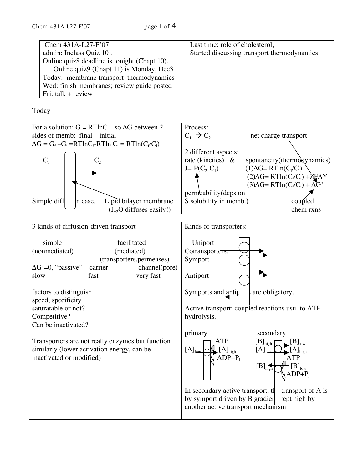| Chem 431A-L27-F'07                           | Last time: role of cholesterol,             |
|----------------------------------------------|---------------------------------------------|
| admin: Inclass Quiz 10.                      | Started discussing transport thermodynamics |
| Online quiz8 deadline is tonight (Chapt 10). |                                             |
| Online quiz9 (Chapt 11) is Monday, Dec3      |                                             |
| Today: membrane transport thermodynamics     |                                             |
| Wed: finish membranes; review guide posted   |                                             |
| Fri: talk $+$ review                         |                                             |

Today

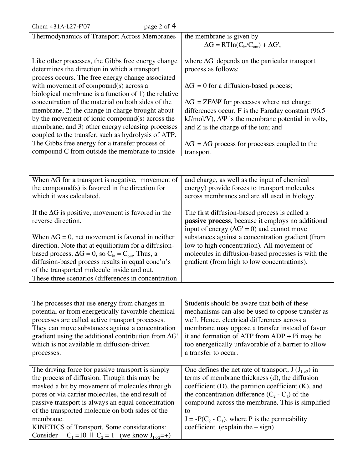| page 2 of $4$<br>Chem 431A-L27-F'07                                                                                                                      |                                                                                                                                                           |
|----------------------------------------------------------------------------------------------------------------------------------------------------------|-----------------------------------------------------------------------------------------------------------------------------------------------------------|
| Thermodynamics of Transport Across Membranes                                                                                                             | the membrane is given by                                                                                                                                  |
|                                                                                                                                                          | $\Delta G = RTln(C_{in}/C_{out}) + \Delta G',$                                                                                                            |
| Like other processes, the Gibbs free energy change<br>determines the direction in which a transport<br>process occurs. The free energy change associated | where $\Delta G'$ depends on the particular transport<br>process as follows:                                                                              |
| with movement of compound(s) across a<br>biological membrane is a function of 1) the relative                                                            | $\Delta G' = 0$ for a diffusion-based process;                                                                                                            |
| concentration of the material on both sides of the                                                                                                       | $\Delta G' = ZF\Delta \Psi$ for processes where net charge                                                                                                |
| membrane, 2) the change in charge brought about<br>by the movement of ionic compound(s) across the                                                       | differences occur. F is the Faraday constant (96.5)<br>$kJ/mol/V$ ), $\Delta\Psi$ is the membrane potential in volts,                                     |
| membrane, and 3) other energy releasing processes<br>coupled to the transfer, such as hydrolysis of ATP.                                                 | and Z is the charge of the ion; and                                                                                                                       |
| The Gibbs free energy for a transfer process of                                                                                                          | $\Delta G' = \Delta G$ process for processes coupled to the                                                                                               |
| compound C from outside the membrane to inside                                                                                                           | transport.                                                                                                                                                |
|                                                                                                                                                          |                                                                                                                                                           |
| When $\Delta G$ for a transport is negative, movement of                                                                                                 | and charge, as well as the input of chemical                                                                                                              |
| the compound(s) is favored in the direction for<br>which it was calculated.                                                                              | energy) provide forces to transport molecules<br>across membranes and are all used in biology.                                                            |
| If the $\Delta G$ is positive, movement is favored in the<br>reverse direction.                                                                          | The first diffusion-based process is called a<br>passive process, because it employs no additional<br>input of energy ( $\Delta G' = 0$ ) and cannot move |
| When $\Delta G = 0$ , net movement is favored in neither                                                                                                 | substances against a concentration gradient (from                                                                                                         |
| direction. Note that at equilibrium for a diffusion-<br>based process, $\Delta G = 0$ , so $C_{in} = C_{out}$ . Thus, a                                  | low to high concentration). All movement of<br>molecules in diffusion-based processes is with the                                                         |
| diffusion-based process results in equal conc'n's                                                                                                        | gradient (from high to low concentrations).                                                                                                               |
| of the transported molecule inside and out.                                                                                                              |                                                                                                                                                           |

| The processes that use energy from changes in                                   | Students should be aware that both of these                 |
|---------------------------------------------------------------------------------|-------------------------------------------------------------|
| potential or from energetically favorable chemical                              | mechanisms can also be used to oppose transfer as           |
| processes are called active transport processes.                                | well. Hence, electrical differences across a                |
| They can move substances against a concentration                                | membrane may oppose a transfer instead of favor             |
| gradient using the additional contribution from $\Delta G'$                     | it and formation of $\overline{ATP}$ from $ADP + Pi$ may be |
| which is not available in diffusion-driven                                      | too energetically unfavorable of a barrier to allow         |
| processes.                                                                      | a transfer to occur.                                        |
|                                                                                 |                                                             |
| The driving force for passive transport is simply                               | One defines the net rate of transport, $J(J_{1-2})$ in      |
| the process of diffusion. Though this may be                                    | terms of membrane thickness (d), the diffusion              |
| masked a bit by movement of molecules through                                   | coefficient $(D)$ , the partition coefficient $(K)$ , and   |
| pores or via carrier molecules, the end result of                               | the concentration difference $(C_2 - C_1)$ of the           |
| passive transport is always an equal concentration                              | compound across the membrane. This is simplified            |
| of the transported molecule on both sides of the                                | to                                                          |
| membrane.                                                                       | $J = -P(C_2 - C_1)$ , where P is the permeability           |
| KINETICS of Transport. Some considerations:                                     | coefficient (explain the $-$ sign)                          |
| $C_1 = 10 \parallel C_2 = 1 \quad (we know J_{1\rightarrow 2} = +)$<br>Consider |                                                             |

These three scenarios (differences in concentration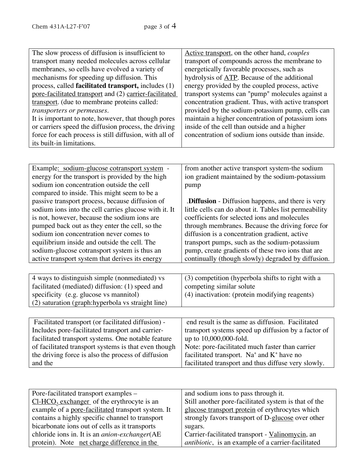| The slow process of diffusion is insufficient to       | Active transport, on the other hand, <i>couples</i> |
|--------------------------------------------------------|-----------------------------------------------------|
| transport many needed molecules across cellular        | transport of compounds across the membrane to       |
| membranes, so cells have evolved a variety of          | energetically favorable processes, such as          |
| mechanisms for speeding up diffusion. This             | hydrolysis of ATP. Because of the additional        |
| process, called facilitated transport, includes (1)    | energy provided by the coupled process, active      |
| pore-facilitated transport and (2) carrier-facilitated | transport systems can "pump" molecules against a    |
| transport. (due to membrane proteins called:           | concentration gradient. Thus, with active transport |
| transporters or permeases.                             | provided by the sodium-potassium pump, cells can    |
| It is important to note, however, that though pores    | maintain a higher concentration of potassium ions   |
| or carriers speed the diffusion process, the driving   | inside of the cell than outside and a higher        |
| force for each process is still diffusion, with all of | concentration of sodium ions outside than inside.   |
| its built-in limitations.                              |                                                     |

| Example: sodium-glucose cotransport system -          | from another active transport system-the sodium          |
|-------------------------------------------------------|----------------------------------------------------------|
| energy for the transport is provided by the high      | ion gradient maintained by the sodium-potassium          |
| sodium ion concentration outside the cell             | pump                                                     |
| compared to inside. This might seem to be a           |                                                          |
| passive transport process, because diffusion of       | <b>.Diffusion</b> - Diffusion happens, and there is very |
| sodium ions into the cell carries glucose with it. It | little cells can do about it. Tables list permeability   |
| is not, however, because the sodium ions are          | coefficients for selected ions and molecules             |
| pumped back out as they enter the cell, so the        | through membranes. Because the driving force for         |
| sodium ion concentration never comes to               | diffusion is a concentration gradient, active            |
| equilibrium inside and outside the cell. The          | transport pumps, such as the sodium-potassium            |
| sodium-glucose cotransport system is thus an          | pump, create gradients of these two ions that are        |
| active transport system that derives its energy       | continually (though slowly) degraded by diffusion.       |
|                                                       |                                                          |

| 4 ways to distinguish simple (nonmediated) vs                                                                                                                                                                                                                                                    | $(3)$ competition (hyperbola shifts to right with a |
|--------------------------------------------------------------------------------------------------------------------------------------------------------------------------------------------------------------------------------------------------------------------------------------------------|-----------------------------------------------------|
| facilitated (mediated) diffusion: (1) speed and                                                                                                                                                                                                                                                  | competing similar solute                            |
| specificity (e.g. glucose vs mannitol)                                                                                                                                                                                                                                                           | (4) inactivation: (protein modifying reagents)      |
| (2) saturation (graph:hyperbola vs straight line)                                                                                                                                                                                                                                                |                                                     |
|                                                                                                                                                                                                                                                                                                  |                                                     |
| Facilitated transport (or facilitated diffusion) -                                                                                                                                                                                                                                               | end result is the same as diffusion. Facilitated    |
| $\mathbf{r}$ and $\mathbf{r}$ and $\mathbf{r}$ and $\mathbf{r}$ and $\mathbf{r}$ and $\mathbf{r}$ and $\mathbf{r}$ and $\mathbf{r}$ and $\mathbf{r}$ and $\mathbf{r}$ and $\mathbf{r}$ and $\mathbf{r}$ and $\mathbf{r}$ and $\mathbf{r}$ and $\mathbf{r}$ and $\mathbf{r}$ and $\mathbf{r}$ and |                                                     |

| 1 actificated transport (or facilitated diffusion) - | Chu Tesun is the same as unfusion. Tachnaicu             |
|------------------------------------------------------|----------------------------------------------------------|
| Includes pore-facilitated transport and carrier-     | transport systems speed up diffusion by a factor of      |
| facilitated transport systems. One notable feature   | up to 10,000,000-fold.                                   |
| of facilitated transport systems is that even though | Note: pore-facilitated much faster than carrier          |
| the driving force is also the process of diffusion   | facilitated transport. Na <sup>+</sup> and $K^+$ have no |
| and the                                              | facilitated transport and thus diffuse very slowly.      |

| Pore-facilitated transport examples -                 | and sodium ions to pass through it.                        |
|-------------------------------------------------------|------------------------------------------------------------|
| $Cl-HCO3 exchanger$ of the erythrocyte is an          | Still another pore-facilitated system is that of the       |
| example of a pore-facilitated transport system. It    | glucose transport protein of erythrocytes which            |
| contains a highly specific channel to transport       | strongly favors transport of D-glucose over other          |
| bicarbonate ions out of cells as it transports        | sugars.                                                    |
| chloride ions in. It is an <i>anion-exchanger</i> (AE | Carrier-facilitated transport - Valinomycin, an            |
| protein). Note <u>net charge difference in the</u>    | <i>antibiotic</i> , is an example of a carrier-facilitated |